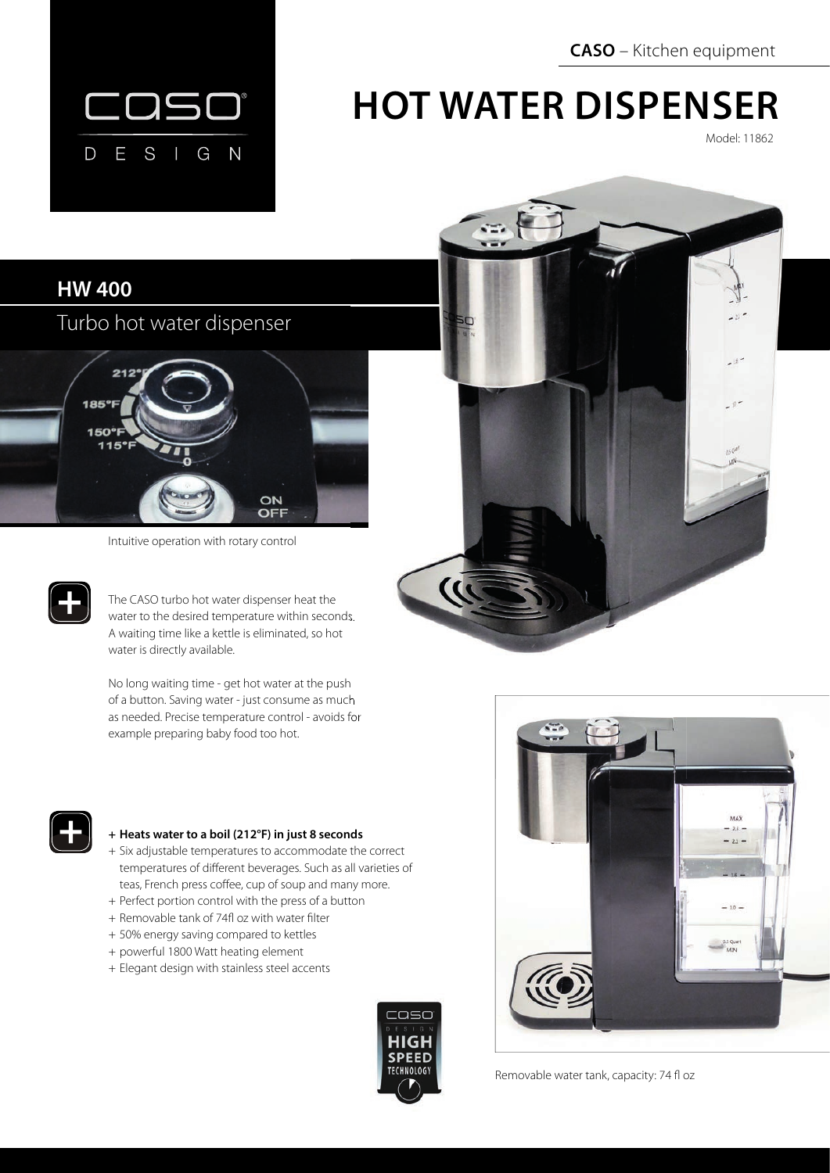**CASO** – Kitchen equipment



# **HOT WATER DISPENSER**

Model: 11862

### **HW 400**

Turbo hot water dispenser



Intuitive operation with rotary control

The CASO turbo hot water dispenser heat the water to the desired temperature within seconds. A waiting time like a kettle is eliminated, so hot water is directly available.

No long waiting time - get hot water at the push of a button. Saving water - just consume as much as needed. Precise temperature control - avoids for example preparing baby food too hot.





### **+ Heats water to a boil (212°F) in just 8 seconds**

- + Six adjustable temperatures to accommodate the correct temperatures of different beverages. Such as all varieties of teas, French press coffee, cup of soup and many more.
- + Perfect portion control with the press of a button
- + Removable tank of 74fl oz with water filter
- + 50% energy saving compared to kettles
- + powerful 1800 Watt heating element
- + Elegant design with stainless steel accents





Removable water tank, capacity: 74 fl oz